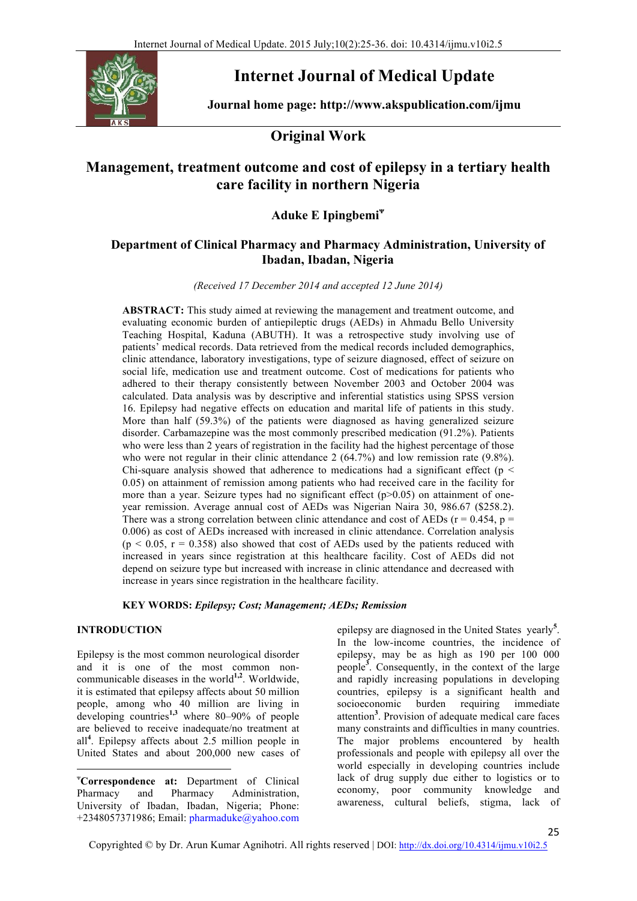

**Internet Journal of Medical Update**

**Journal home page: http://www.akspublication.com/ijmu**

# **Original Work**

# **Management, treatment outcome and cost of epilepsy in a tertiary health care facility in northern Nigeria**

# **Aduke E Ipingbemi<sup>ᴪ</sup>**

# **Department of Clinical Pharmacy and Pharmacy Administration, University of Ibadan, Ibadan, Nigeria**

*(Received 17 December 2014 and accepted 12 June 2014)*

**ABSTRACT:** This study aimed at reviewing the management and treatment outcome, and evaluating economic burden of antiepileptic drugs (AEDs) in Ahmadu Bello University Teaching Hospital, Kaduna (ABUTH). It was a retrospective study involving use of patients' medical records. Data retrieved from the medical records included demographics, clinic attendance, laboratory investigations, type of seizure diagnosed, effect of seizure on social life, medication use and treatment outcome. Cost of medications for patients who adhered to their therapy consistently between November 2003 and October 2004 was calculated. Data analysis was by descriptive and inferential statistics using SPSS version 16. Epilepsy had negative effects on education and marital life of patients in this study. More than half (59.3%) of the patients were diagnosed as having generalized seizure disorder. Carbamazepine was the most commonly prescribed medication (91.2%). Patients who were less than 2 years of registration in the facility had the highest percentage of those who were not regular in their clinic attendance 2 (64.7%) and low remission rate (9.8%). Chi-square analysis showed that adherence to medications had a significant effect ( $p \le$ 0.05) on attainment of remission among patients who had received care in the facility for more than a year. Seizure types had no significant effect  $(p>0.05)$  on attainment of oneyear remission. Average annual cost of AEDs was Nigerian Naira 30, 986.67 (\$258.2). There was a strong correlation between clinic attendance and cost of AEDs ( $r = 0.454$ ,  $p =$ 0.006) as cost of AEDs increased with increased in clinic attendance. Correlation analysis  $(p < 0.05, r = 0.358)$  also showed that cost of AEDs used by the patients reduced with increased in years since registration at this healthcare facility. Cost of AEDs did not depend on seizure type but increased with increase in clinic attendance and decreased with increase in years since registration in the healthcare facility.

# **KEY WORDS:** *Epilepsy; Cost; Management; AEDs; Remission*

# **INTRODUCTION<sup>ᴪ</sup>**

Epilepsy is the most common neurological disorder and it is one of the most common noncommunicable diseases in the world**1,2**. Worldwide, it is estimated that epilepsy affects about 50 million people, among who 40 million are living in developing countries**1,3** where 80–90% of people are believed to receive inadequate/no treatment at all**<sup>4</sup>** . Epilepsy affects about 2.5 million people in United States and about 200,000 new cases of

<u> 1989 - Jan Samuel Barbara, margaret e</u>

epilepsy are diagnosed in the United States yearly**<sup>5</sup>** . In the low-income countries, the incidence of epilepsy, may be as high as 190 per 100 000 people**<sup>3</sup>** . Consequently, in the context of the large and rapidly increasing populations in developing countries, epilepsy is a significant health and socioeconomic burden requiring immediate attention**<sup>3</sup>** . Provision of adequate medical care faces many constraints and difficulties in many countries. The major problems encountered by health professionals and people with epilepsy all over the world especially in developing countries include lack of drug supply due either to logistics or to economy, poor community knowledge and awareness, cultural beliefs, stigma, lack of

ᴪ **Correspondence at:** Department of Clinical Pharmacy and Pharmacy Administration, University of Ibadan, Ibadan, Nigeria; Phone: +2348057371986; Email: pharmaduke@yahoo.com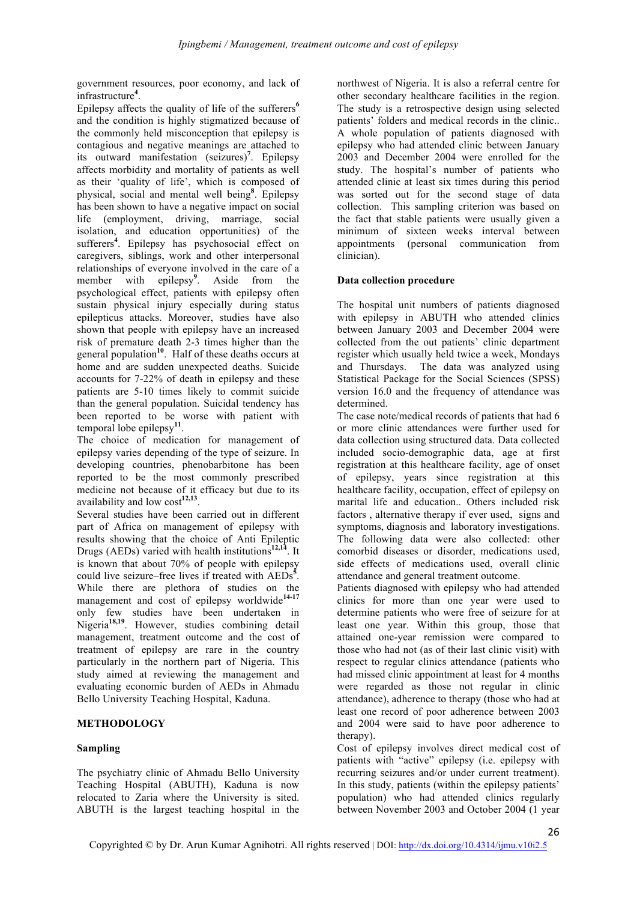government resources, poor economy, and lack of infrastructure**<sup>4</sup>** .

Epilepsy affects the quality of life of the sufferers**<sup>6</sup>** and the condition is highly stigmatized because of the commonly held misconception that epilepsy is contagious and negative meanings are attached to its outward manifestation (seizures)**<sup>7</sup>** . Epilepsy affects morbidity and mortality of patients as well as their 'quality of life', which is composed of physical, social and mental well being**<sup>8</sup>** . Epilepsy has been shown to have a negative impact on social life (employment, driving, marriage, social isolation, and education opportunities) of the sufferers<sup>4</sup>. Epilepsy has psychosocial effect on caregivers, siblings, work and other interpersonal relationships of everyone involved in the care of a member with epilepsy**<sup>9</sup>** . Aside from the psychological effect, patients with epilepsy often sustain physical injury especially during status epilepticus attacks. Moreover, studies have also shown that people with epilepsy have an increased risk of premature death 2-3 times higher than the general population**<sup>10</sup>**. Half of these deaths occurs at home and are sudden unexpected deaths. Suicide accounts for 7-22% of death in epilepsy and these patients are 5-10 times likely to commit suicide than the general population. Suicidal tendency has been reported to be worse with patient with temporal lobe epilepsy**<sup>11</sup>**.

The choice of medication for management of epilepsy varies depending of the type of seizure. In developing countries, phenobarbitone has been reported to be the most commonly prescribed medicine not because of it efficacy but due to its availability and low cost**12,13**.

Several studies have been carried out in different part of Africa on management of epilepsy with results showing that the choice of Anti Epileptic Drugs (AEDs) varied with health institutions**12,14**. It is known that about 70% of people with epilepsy could live seizure–free lives if treated with AEDs**<sup>5</sup>** . While there are plethora of studies on the management and cost of epilepsy worldwide**14-17** only few studies have been undertaken in Nigeria**18,19**. However, studies combining detail management, treatment outcome and the cost of treatment of epilepsy are rare in the country particularly in the northern part of Nigeria. This study aimed at reviewing the management and evaluating economic burden of AEDs in Ahmadu Bello University Teaching Hospital, Kaduna.

# **METHODOLOGY**

## **Sampling**

The psychiatry clinic of Ahmadu Bello University Teaching Hospital (ABUTH), Kaduna is now relocated to Zaria where the University is sited. ABUTH is the largest teaching hospital in the

northwest of Nigeria. It is also a referral centre for other secondary healthcare facilities in the region. The study is a retrospective design using selected patients' folders and medical records in the clinic.. A whole population of patients diagnosed with epilepsy who had attended clinic between January 2003 and December 2004 were enrolled for the study. The hospital's number of patients who attended clinic at least six times during this period was sorted out for the second stage of data collection. This sampling criterion was based on the fact that stable patients were usually given a minimum of sixteen weeks interval between appointments (personal communication from clinician).

## **Data collection procedure**

The hospital unit numbers of patients diagnosed with epilepsy in ABUTH who attended clinics between January 2003 and December 2004 were collected from the out patients' clinic department register which usually held twice a week, Mondays and Thursdays. The data was analyzed using Statistical Package for the Social Sciences (SPSS) version 16.0 and the frequency of attendance was determined.

The case note/medical records of patients that had 6 or more clinic attendances were further used for data collection using structured data. Data collected included socio-demographic data, age at first registration at this healthcare facility, age of onset of epilepsy, years since registration at this healthcare facility, occupation, effect of epilepsy on marital life and education.. Others included risk factors , alternative therapy if ever used, signs and symptoms, diagnosis and laboratory investigations. The following data were also collected: other comorbid diseases or disorder, medications used, side effects of medications used, overall clinic attendance and general treatment outcome.

Patients diagnosed with epilepsy who had attended clinics for more than one year were used to determine patients who were free of seizure for at least one year. Within this group, those that attained one-year remission were compared to those who had not (as of their last clinic visit) with respect to regular clinics attendance (patients who had missed clinic appointment at least for 4 months were regarded as those not regular in clinic attendance), adherence to therapy (those who had at least one record of poor adherence between 2003 and 2004 were said to have poor adherence to therapy).

Cost of epilepsy involves direct medical cost of patients with "active" epilepsy (i.e. epilepsy with recurring seizures and/or under current treatment). In this study, patients (within the epilepsy patients' population) who had attended clinics regularly between November 2003 and October 2004 (1 year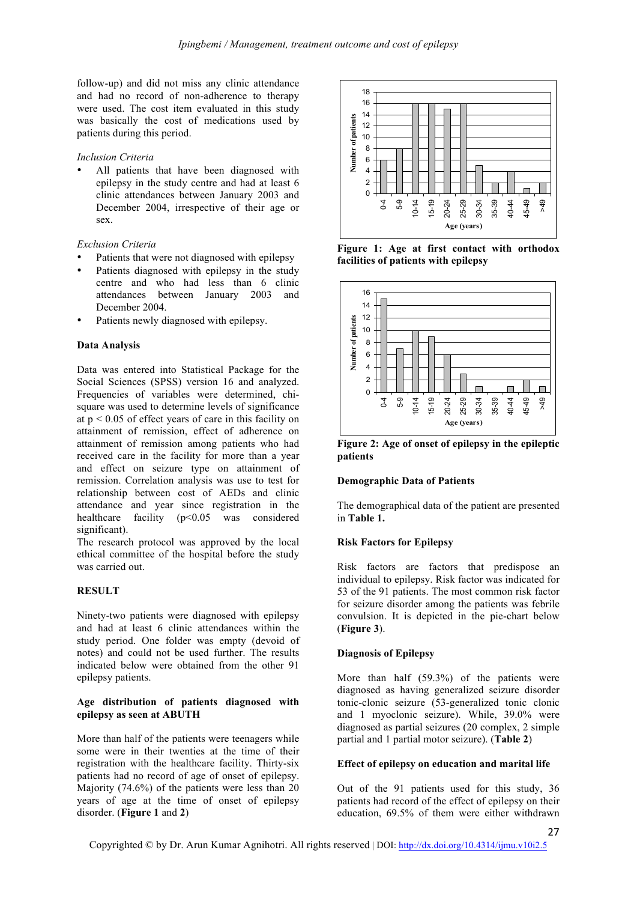follow-up) and did not miss any clinic attendance and had no record of non-adherence to therapy were used. The cost item evaluated in this study was basically the cost of medications used by patients during this period.

#### *Inclusion Criteria*

All patients that have been diagnosed with epilepsy in the study centre and had at least 6 clinic attendances between January 2003 and December 2004, irrespective of their age or sex.

#### *Exclusion Criteria*

- Patients that were not diagnosed with epilepsy
- Patients diagnosed with epilepsy in the study centre and who had less than 6 clinic attendances between January 2003 and December 2004.
- Patients newly diagnosed with epilepsy.

## **Data Analysis**

Data was entered into Statistical Package for the Social Sciences (SPSS) version 16 and analyzed. Frequencies of variables were determined, chisquare was used to determine levels of significance at  $p < 0.05$  of effect years of care in this facility on attainment of remission, effect of adherence on attainment of remission among patients who had received care in the facility for more than a year and effect on seizure type on attainment of remission. Correlation analysis was use to test for relationship between cost of AEDs and clinic attendance and year since registration in the healthcare facility (p<0.05 was considered significant).

The research protocol was approved by the local ethical committee of the hospital before the study was carried out.

## **RESULT**

Ninety-two patients were diagnosed with epilepsy and had at least 6 clinic attendances within the study period. One folder was empty (devoid of notes) and could not be used further. The results indicated below were obtained from the other 91 epilepsy patients.

#### **Age distribution of patients diagnosed with epilepsy as seen at ABUTH**

More than half of the patients were teenagers while some were in their twenties at the time of their registration with the healthcare facility. Thirty-six patients had no record of age of onset of epilepsy. Majority (74.6%) of the patients were less than 20 years of age at the time of onset of epilepsy disorder. (**Figure 1** and **2**)



**Figure 1: Age at first contact with orthodox facilities of patients with epilepsy**



**Figure 2: Age of onset of epilepsy in the epileptic patients**

#### **Demographic Data of Patients**

The demographical data of the patient are presented in **Table 1.**

#### **Risk Factors for Epilepsy**

Risk factors are factors that predispose an individual to epilepsy. Risk factor was indicated for 53 of the 91 patients. The most common risk factor for seizure disorder among the patients was febrile convulsion. It is depicted in the pie-chart below (**Figure 3**).

## **Diagnosis of Epilepsy**

More than half (59.3%) of the patients were diagnosed as having generalized seizure disorder tonic-clonic seizure (53-generalized tonic clonic and 1 myoclonic seizure). While, 39.0% were diagnosed as partial seizures (20 complex, 2 simple partial and 1 partial motor seizure). (**Table 2**)

#### **Effect of epilepsy on education and marital life**

Out of the 91 patients used for this study, 36 patients had record of the effect of epilepsy on their education, 69.5% of them were either withdrawn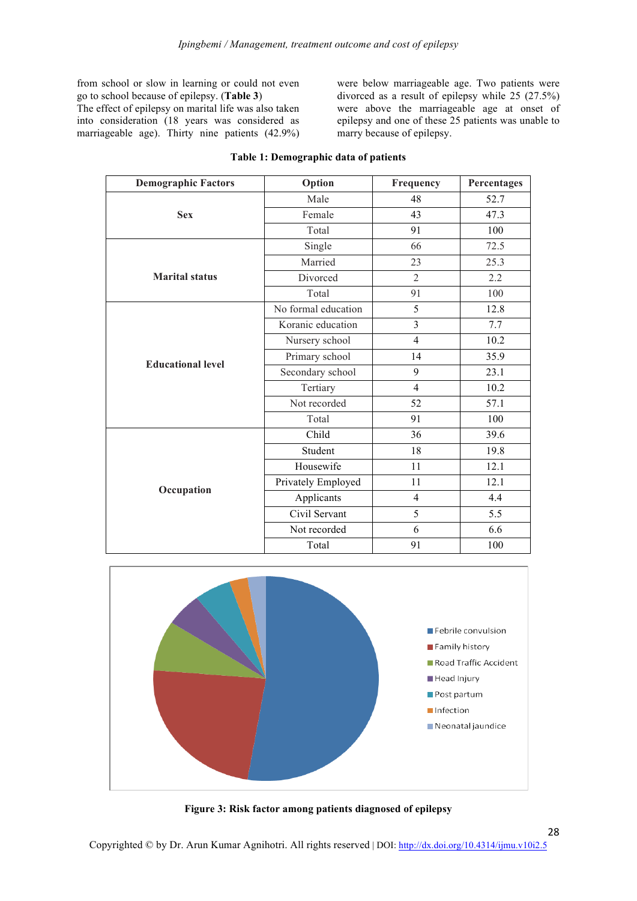from school or slow in learning or could not even go to school because of epilepsy. (**Table 3**)

The effect of epilepsy on marital life was also taken into consideration (18 years was considered as marriageable age). Thirty nine patients (42.9%)

were below marriageable age. Two patients were divorced as a result of epilepsy while 25 (27.5%) were above the marriageable age at onset of epilepsy and one of these 25 patients was unable to marry because of epilepsy.

| <b>Demographic Factors</b> | Option              | Frequency      | Percentages |
|----------------------------|---------------------|----------------|-------------|
|                            | Male                | 48             | 52.7        |
| <b>Sex</b>                 | Female              | 43             | 47.3        |
|                            | Total               | 91             | 100         |
|                            | Single              | 66             | 72.5        |
|                            | Married             | 23             | 25.3        |
| <b>Marital status</b>      | Divorced            | $\overline{2}$ | 2.2         |
|                            | Total               | 91             | 100         |
|                            | No formal education | 5              | 12.8        |
|                            | Koranic education   | $\overline{3}$ | 7.7         |
|                            | Nursery school      | $\overline{4}$ | 10.2        |
| <b>Educational level</b>   | Primary school      | 14             | 35.9        |
|                            | Secondary school    | 9              | 23.1        |
|                            | Tertiary            | $\overline{4}$ | 10.2        |
|                            | Not recorded        | 52             | 57.1        |
|                            | Total               | 91             | 100         |
|                            | Child               | 36             | 39.6        |
|                            | Student             | 18             | 19.8        |
|                            | Housewife           | 11             | 12.1        |
| Occupation                 | Privately Employed  | 11             | 12.1        |
|                            | Applicants          | $\overline{4}$ | 4.4         |
|                            | Civil Servant       | 5              | 5.5         |
|                            | Not recorded        | 6              | 6.6         |
|                            | Total               | 91             | 100         |

## **Table 1: Demographic data of patients**



**Figure 3: Risk factor among patients diagnosed of epilepsy**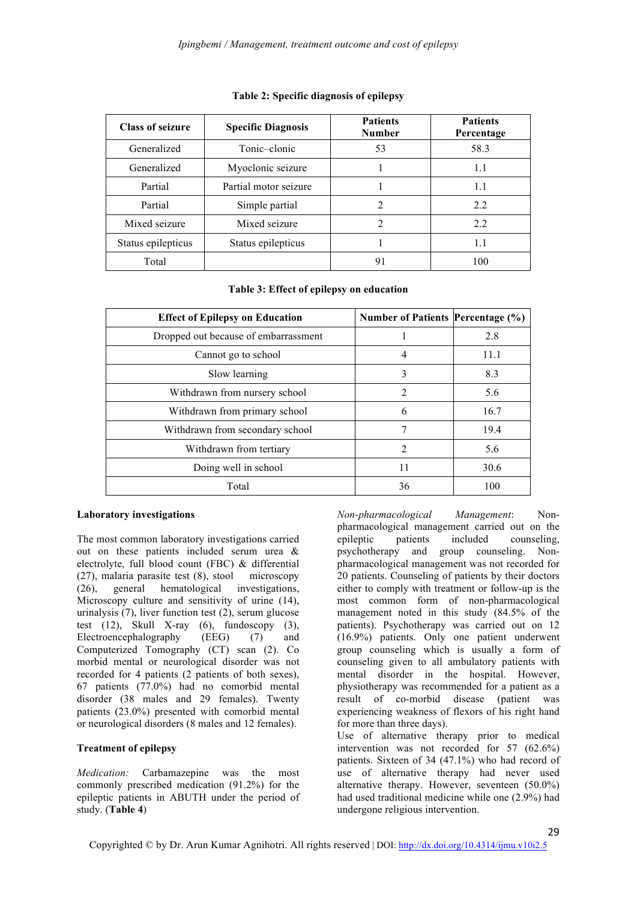| <b>Class of seizure</b> | <b>Specific Diagnosis</b> | <b>Patients</b><br><b>Number</b> | <b>Patients</b><br>Percentage |
|-------------------------|---------------------------|----------------------------------|-------------------------------|
| Generalized             | Tonic-clonic              | 53                               | 58.3                          |
| Generalized             | Myoclonic seizure         |                                  | 1.1                           |
| Partial                 | Partial motor seizure     | 1                                | 1.1                           |
| Partial                 | Simple partial            | $\overline{2}$                   | 2.2                           |
| Mixed seizure           | Mixed seizure             | 2                                | 2.2                           |
| Status epilepticus      | Status epilepticus        |                                  | 1.1                           |
| Total                   |                           | 91                               | 100                           |

## **Table 2: Specific diagnosis of epilepsy**

## **Table 3: Effect of epilepsy on education**

| <b>Effect of Epilepsy on Education</b> | Number of Patients Percentage (%) |      |
|----------------------------------------|-----------------------------------|------|
| Dropped out because of embarrassment   |                                   | 2.8  |
| Cannot go to school                    | 4                                 | 11.1 |
| Slow learning                          | 3                                 | 8.3  |
| Withdrawn from nursery school          | $\overline{2}$                    | 5.6  |
| Withdrawn from primary school          | 6                                 | 16.7 |
| Withdrawn from secondary school        | 7                                 | 19.4 |
| Withdrawn from tertiary                | $\overline{2}$                    | 5.6  |
| Doing well in school                   | 11                                | 30.6 |
| Total                                  | 36                                | 100  |

## **Laboratory investigations**

The most common laboratory investigations carried out on these patients included serum urea & electrolyte, full blood count (FBC) & differential (27), malaria parasite test (8), stool microscopy (26), general hematological investigations, Microscopy culture and sensitivity of urine (14), urinalysis (7), liver function test (2), serum glucose test  $(12)$ , Skull X-ray  $(6)$ , fundoscopy  $(3)$ , Electroencephalography (EEG) (7) and Computerized Tomography (CT) scan (2). Co morbid mental or neurological disorder was not recorded for 4 patients (2 patients of both sexes), 67 patients (77.0%) had no comorbid mental disorder (38 males and 29 females). Twenty patients (23.0%) presented with comorbid mental or neurological disorders (8 males and 12 females).

## **Treatment of epilepsy**

*Medication:* Carbamazepine was the most commonly prescribed medication (91.2%) for the epileptic patients in ABUTH under the period of study. (**Table 4**)

*Non-pharmacological Management*: Nonpharmacological management carried out on the epileptic patients included counseling, psychotherapy and group counseling. Nonpharmacological management was not recorded for 20 patients. Counseling of patients by their doctors either to comply with treatment or follow-up is the most common form of non-pharmacological management noted in this study (84.5% of the patients). Psychotherapy was carried out on 12 (16.9%) patients. Only one patient underwent group counseling which is usually a form of counseling given to all ambulatory patients with mental disorder in the hospital. However, physiotherapy was recommended for a patient as a result of co-morbid disease (patient was experiencing weakness of flexors of his right hand for more than three days).

Use of alternative therapy prior to medical intervention was not recorded for 57 (62.6%) patients. Sixteen of 34 (47.1%) who had record of use of alternative therapy had never used alternative therapy. However, seventeen (50.0%) had used traditional medicine while one (2.9%) had undergone religious intervention.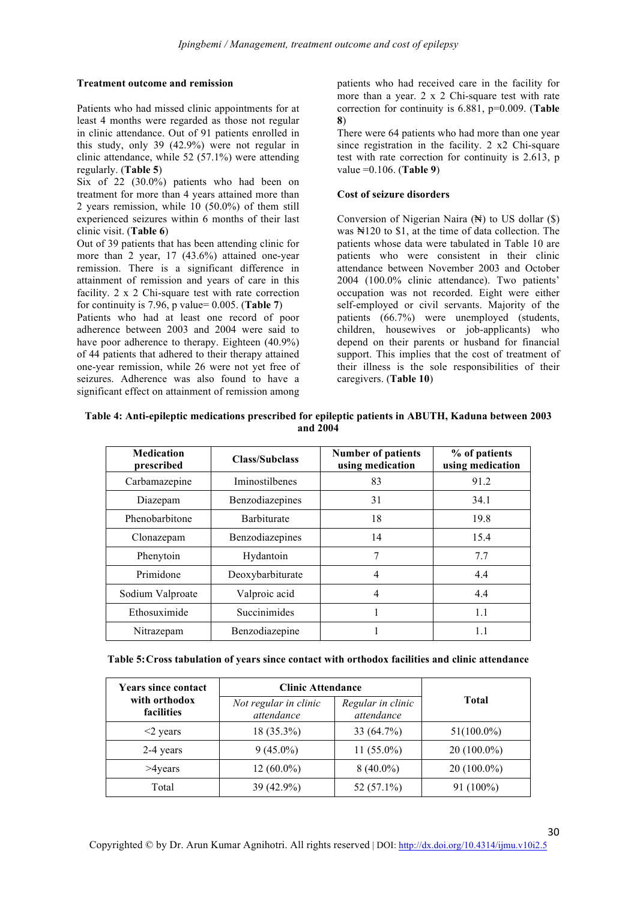#### **Treatment outcome and remission**

Patients who had missed clinic appointments for at least 4 months were regarded as those not regular in clinic attendance. Out of 91 patients enrolled in this study, only 39 (42.9%) were not regular in clinic attendance, while 52 (57.1%) were attending regularly. (**Table 5**)

Six of 22 (30.0%) patients who had been on treatment for more than 4 years attained more than 2 years remission, while 10 (50.0%) of them still experienced seizures within 6 months of their last clinic visit. (**Table 6**)

Out of 39 patients that has been attending clinic for more than 2 year, 17 (43.6%) attained one-year remission. There is a significant difference in attainment of remission and years of care in this facility. 2 x 2 Chi-square test with rate correction for continuity is  $7.96$ , p value=  $0.005$ . (**Table 7**)

Patients who had at least one record of poor adherence between 2003 and 2004 were said to have poor adherence to therapy. Eighteen (40.9%) of 44 patients that adhered to their therapy attained one-year remission, while 26 were not yet free of seizures. Adherence was also found to have a significant effect on attainment of remission among

patients who had received care in the facility for more than a year. 2 x 2 Chi-square test with rate correction for continuity is 6.881, p=0.009. (**Table 8**)

There were 64 patients who had more than one year since registration in the facility. 2 x2 Chi-square test with rate correction for continuity is 2.613, p value =0.106. (**Table 9**)

#### **Cost of seizure disorders**

Conversion of Nigerian Naira  $(\mathbb{H})$  to US dollar  $(\mathbb{S})$ was ₦120 to \$1, at the time of data collection. The patients whose data were tabulated in Table 10 are patients who were consistent in their clinic attendance between November 2003 and October 2004 (100.0% clinic attendance). Two patients' occupation was not recorded. Eight were either self-employed or civil servants. Majority of the patients (66.7%) were unemployed (students, children, housewives or job-applicants) who depend on their parents or husband for financial support. This implies that the cost of treatment of their illness is the sole responsibilities of their caregivers. (**Table 10**)

| Table 4: Anti-epileptic medications prescribed for epileptic patients in ABUTH, Kaduna between 2003 |  |
|-----------------------------------------------------------------------------------------------------|--|
| and 2004                                                                                            |  |

| <b>Medication</b><br>prescribed | <b>Class/Subclass</b> | <b>Number of patients</b><br>using medication | % of patients<br>using medication |
|---------------------------------|-----------------------|-----------------------------------------------|-----------------------------------|
| Carbamazepine                   | Iminostilbenes        | 83                                            | 91.2                              |
| Diazepam                        | Benzodiazepines       | 31                                            | 34.1                              |
| Phenobarbitone                  | Barbiturate           | 18                                            | 19.8                              |
| Clonazepam                      | Benzodiazepines       | 14                                            | 15.4                              |
| Phenytoin                       | Hydantoin             | 7                                             | 7.7                               |
| Primidone                       | Deoxybarbiturate      | 4                                             | 4.4                               |
| Sodium Valproate                | Valproic acid         | $\overline{4}$                                | 4.4                               |
| Ethosuximide                    | Succinimides          |                                               | 1.1                               |
| Nitrazepam                      | Benzodiazepine        |                                               | 1.1                               |

|  |  |  |  |  |  |  |  |  | Table 5: Cross tabulation of years since contact with orthodox facilities and clinic attendance |  |  |  |  |  |
|--|--|--|--|--|--|--|--|--|-------------------------------------------------------------------------------------------------|--|--|--|--|--|
|--|--|--|--|--|--|--|--|--|-------------------------------------------------------------------------------------------------|--|--|--|--|--|

| <b>Years since contact</b>         | <b>Clinic Attendance</b>            |                                 |               |
|------------------------------------|-------------------------------------|---------------------------------|---------------|
| with orthodox<br><b>facilities</b> | Not regular in clinic<br>attendance | Regular in clinic<br>attendance | <b>Total</b>  |
| $\leq$ years                       | 18 (35.3%)                          | $33(64.7\%)$                    | $51(100.0\%)$ |
| 2-4 years                          | $9(45.0\%)$                         | $11(55.0\%)$                    | $20(100.0\%)$ |
| $>4$ years                         | $12(60.0\%)$                        | $8(40.0\%)$                     | $20(100.0\%)$ |
| Total                              | 39 (42.9%)                          | 52 (57.1%)                      | $91(100\%)$   |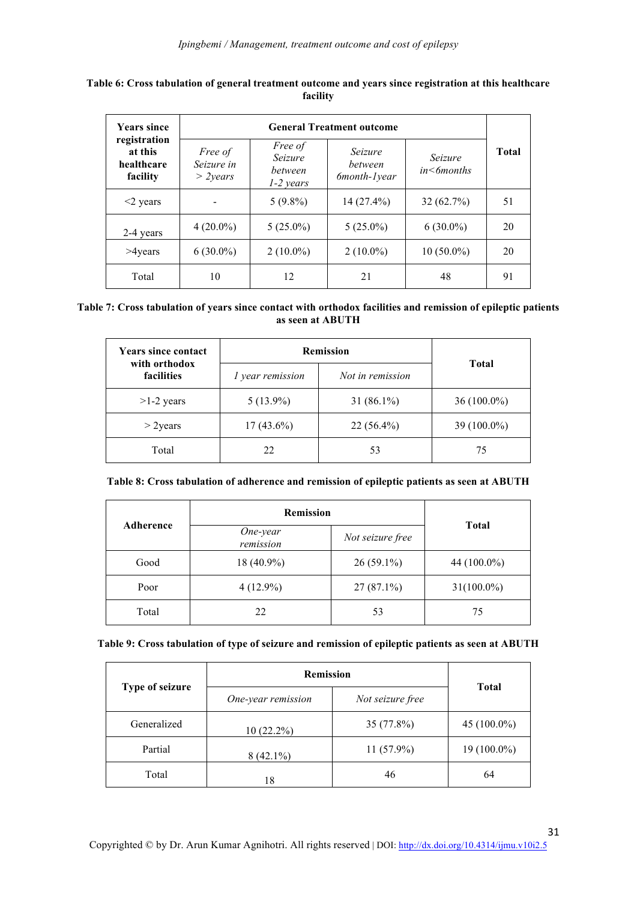| <b>Years since</b>                                | <b>General Treatment outcome</b>           |                                                     |                                           |                             |              |  |
|---------------------------------------------------|--------------------------------------------|-----------------------------------------------------|-------------------------------------------|-----------------------------|--------------|--|
| registration<br>at this<br>healthcare<br>facility | <i>Free of</i><br>Seizure in<br>$>$ 2years | Free of<br>Seizure<br><i>between</i><br>$1-2$ vears | Seizure<br><i>hetween</i><br>6month-1year | Seizure<br>$in<$ 6 $months$ | <b>Total</b> |  |
| $\leq$ years                                      |                                            | $5(9.8\%)$                                          | $14(27.4\%)$                              | 32(62.7%)                   | 51           |  |
| 2-4 years                                         | $4(20.0\%)$                                | $5(25.0\%)$                                         | $5(25.0\%)$                               | $6(30.0\%)$                 | 20           |  |
| $>4$ vears                                        | $6(30.0\%)$                                | $2(10.0\%)$                                         | $2(10.0\%)$                               | $10(50.0\%)$                | 20           |  |
| Total                                             | 10                                         | 12                                                  | 21                                        | 48                          | 91           |  |

# **Table 6: Cross tabulation of general treatment outcome and years since registration at this healthcare facility**

## **Table 7: Cross tabulation of years since contact with orthodox facilities and remission of epileptic patients as seen at ABUTH**

| <b>Years since contact</b><br>with orthodox | <b>Remission</b>        | <b>Total</b>     |               |  |
|---------------------------------------------|-------------------------|------------------|---------------|--|
| facilities                                  | <i>l</i> year remission | Not in remission |               |  |
| $>1-2$ years                                | $5(13.9\%)$             | 31 $(86.1\%)$    | $36(100.0\%)$ |  |
| $>$ 2years                                  | $17(43.6\%)$            | $22(56.4\%)$     | 39 (100.0%)   |  |
| Total                                       | 22                      | 53               | 75            |  |

|  |  | Table 8: Cross tabulation of adherence and remission of epileptic patients as seen at ABUTH |  |  |
|--|--|---------------------------------------------------------------------------------------------|--|--|

| Adherence | <b>Remission</b>      |                  |               |
|-----------|-----------------------|------------------|---------------|
|           | One-year<br>remission | Not seizure free | <b>Total</b>  |
| Good      | 18 (40.9%)            | $26(59.1\%)$     | 44 (100.0%)   |
| Poor      | $4(12.9\%)$           | $27(87.1\%)$     | $31(100.0\%)$ |
| Total     | 22                    | 53               | 75            |

# **Table 9: Cross tabulation of type of seizure and remission of epileptic patients as seen at ABUTH**

|                 | <b>Remission</b>   |                  |                |  |
|-----------------|--------------------|------------------|----------------|--|
| Type of seizure | One-year remission | Not seizure free | <b>Total</b>   |  |
| Generalized     | $10(22.2\%)$       | 35 (77.8%)       | 45 $(100.0\%)$ |  |
| Partial         | $8(42.1\%)$        | $11(57.9\%)$     | 19 (100.0%)    |  |
| Total           | 18                 | 46               | 64             |  |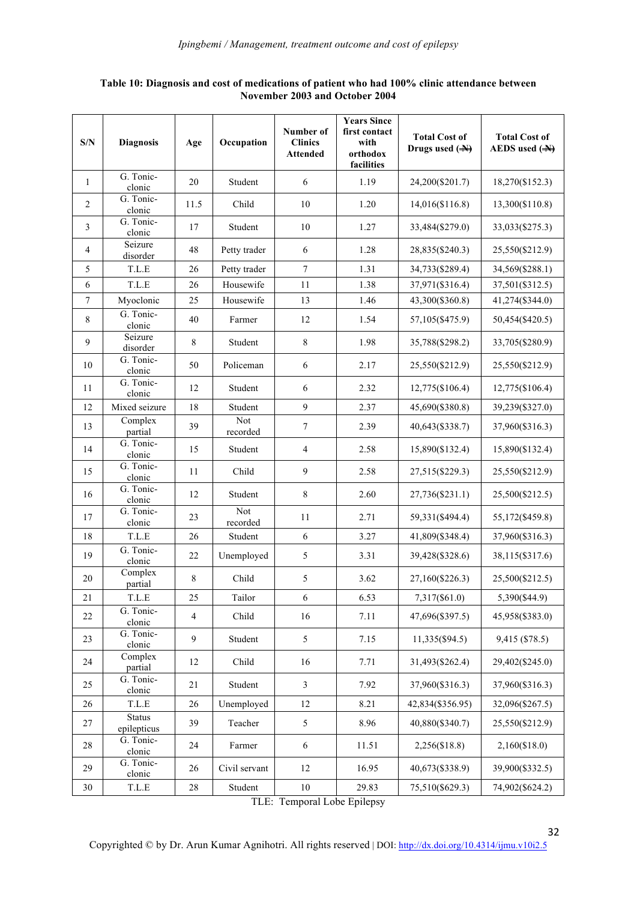| $\mathbf{S}/\mathbf{N}$ | <b>Diagnosis</b>             | Age            | Occupation             | Number of<br><b>Clinics</b><br><b>Attended</b> | <b>Years Since</b><br>first contact<br>with<br>orthodox<br>facilities | <b>Total Cost of</b><br>Drugs used $(\rightarrow)$ | <b>Total Cost of</b><br>AEDS used $(\rightarrow)$ |
|-------------------------|------------------------------|----------------|------------------------|------------------------------------------------|-----------------------------------------------------------------------|----------------------------------------------------|---------------------------------------------------|
| 1                       | G. Tonic-<br>clonic          | 20             | Student                | 6                                              | 1.19                                                                  | 24,200(\$201.7)                                    | 18,270(\$152.3)                                   |
| $\overline{2}$          | G. Tonic-<br>clonic          | 11.5           | Child                  | 10                                             | 1.20                                                                  | 14,016(\$116.8)                                    | 13,300(\$110.8)                                   |
| $\mathfrak{Z}$          | G. Tonic-<br>clonic          | 17             | Student                | 10                                             | 1.27                                                                  | 33,484(\$279.0)                                    | 33,033(\$275.3)                                   |
| $\overline{4}$          | Seizure<br>disorder          | 48             | Petty trader           | 6                                              | 1.28                                                                  | 28,835(\$240.3)                                    | 25,550(\$212.9)                                   |
| 5                       | T.L.E                        | 26             | Petty trader           | $\boldsymbol{7}$                               | 1.31                                                                  | 34,733(\$289.4)                                    | 34,569(\$288.1)                                   |
| $\sqrt{6}$              | T.L.E                        | 26             | Housewife              | 11                                             | 1.38                                                                  | 37,971(\$316.4)                                    | 37,501(\$312.5)                                   |
| $\boldsymbol{7}$        | Myoclonic                    | 25             | Housewife              | 13                                             | 1.46                                                                  | 43,300(\$360.8)                                    | 41,274(\$344.0)                                   |
| $\,$ 8 $\,$             | G. Tonic-<br>clonic          | 40             | Farmer                 | 12                                             | 1.54                                                                  | 57,105(\$475.9)                                    | 50,454(\$420.5)                                   |
| $\boldsymbol{9}$        | Seizure<br>disorder          | 8              | Student                | $\,$ 8 $\,$                                    | 1.98                                                                  | 35,788(\$298.2)                                    | 33,705(\$280.9)                                   |
| 10                      | G. Tonic-<br>clonic          | 50             | Policeman              | 6                                              | 2.17                                                                  | 25,550(\$212.9)                                    | 25,550(\$212.9)                                   |
| 11                      | G. Tonic-<br>clonic          | 12             | Student                | 6                                              | 2.32                                                                  | 12,775(\$106.4)                                    | 12,775(\$106.4)                                   |
| 12                      | Mixed seizure                | 18             | Student                | 9                                              | 2.37                                                                  | 45,690(\$380.8)                                    | 39,239(\$327.0)                                   |
| 13                      | Complex<br>partial           | 39             | Not<br>recorded        | $\boldsymbol{7}$                               | 2.39                                                                  | 40,643(\$338.7)                                    | 37,960(\$316.3)                                   |
| 14                      | G. Tonic-<br>clonic          | 15             | Student                | $\overline{4}$                                 | 2.58                                                                  | 15,890(\$132.4)                                    | 15,890(\$132.4)                                   |
| 15                      | G. Tonic-<br>clonic          | 11             | Child                  | 9                                              | 2.58                                                                  | 27,515(\$229.3)                                    | 25,550(\$212.9)                                   |
| 16                      | G. Tonic-<br>clonic          | 12             | Student                | $\,$ 8 $\,$                                    | 2.60                                                                  | 27,736(\$231.1)                                    | 25,500(\$212.5)                                   |
| 17                      | G. Tonic-<br>clonic          | 23             | <b>Not</b><br>recorded | 11                                             | 2.71                                                                  | 59,331(\$494.4)                                    | 55,172(\$459.8)                                   |
| 18                      | T.L.E                        | 26             | Student                | 6                                              | 3.27                                                                  | 41,809(\$348.4)                                    | 37,960(\$316.3)                                   |
| 19                      | G. Tonic-<br>clonic          | 22             | Unemployed             | 5                                              | 3.31                                                                  | 39,428(\$328.6)                                    | 38,115(\$317.6)                                   |
| 20                      | Complex<br>partial           | 8              | Child                  | $\mathfrak{S}$                                 | 3.62                                                                  | 27,160(\$226.3)                                    | 25,500(\$212.5)                                   |
| 21                      | T.L.E                        | 25             | Tailor                 | 6                                              | 6.53                                                                  | 7,317(\$61.0)                                      | 5,390(\$44.9)                                     |
| 22                      | G. Tonic-<br>clonic          | 4              | Child                  | 16                                             | 7.11                                                                  | 47,696(\$397.5)                                    | 45,958(\$383.0)                                   |
| 23                      | G. Tonic-<br>clonic          | $\overline{9}$ | Student                | $\sqrt{5}$                                     | 7.15                                                                  | 11,335(\$94.5)                                     | 9,415 (\$78.5)                                    |
| 24                      | Complex<br>partial           | 12             | Child                  | 16                                             | 7.71                                                                  | 31,493(\$262.4)                                    | 29,402(\$245.0)                                   |
| 25                      | G. Tonic-<br>clonic          | 21             | Student                | 3                                              | 7.92                                                                  | 37,960(\$316.3)                                    | 37,960(\$316.3)                                   |
| 26                      | T.L.E                        | 26             | Unemployed             | 12                                             | 8.21                                                                  | 42,834(\$356.95)                                   | 32,096(\$267.5)                                   |
| 27                      | <b>Status</b><br>epilepticus | 39             | Teacher                | $\mathfrak s$                                  | 8.96                                                                  | 40,880(\$340.7)                                    | 25,550(\$212.9)                                   |
| 28                      | G. Tonic-<br>clonic          | 24             | Farmer                 | 6                                              | 11.51                                                                 | 2,256(\$18.8)                                      | 2,160(\$18.0)                                     |
| 29                      | G. Tonic-<br>clonic          | 26             | Civil servant          | 12                                             | 16.95                                                                 | 40,673(\$338.9)                                    | 39,900(\$332.5)                                   |
| 30                      | ${\bf T.L.E}$                | $28\,$         | Student                | $10\,$                                         | 29.83                                                                 | 75,510(\$629.3)                                    | 74,902(\$624.2)                                   |

#### **Table 10: Diagnosis and cost of medications of patient who had 100% clinic attendance between November 2003 and October 2004**

TLE: Temporal Lobe Epilepsy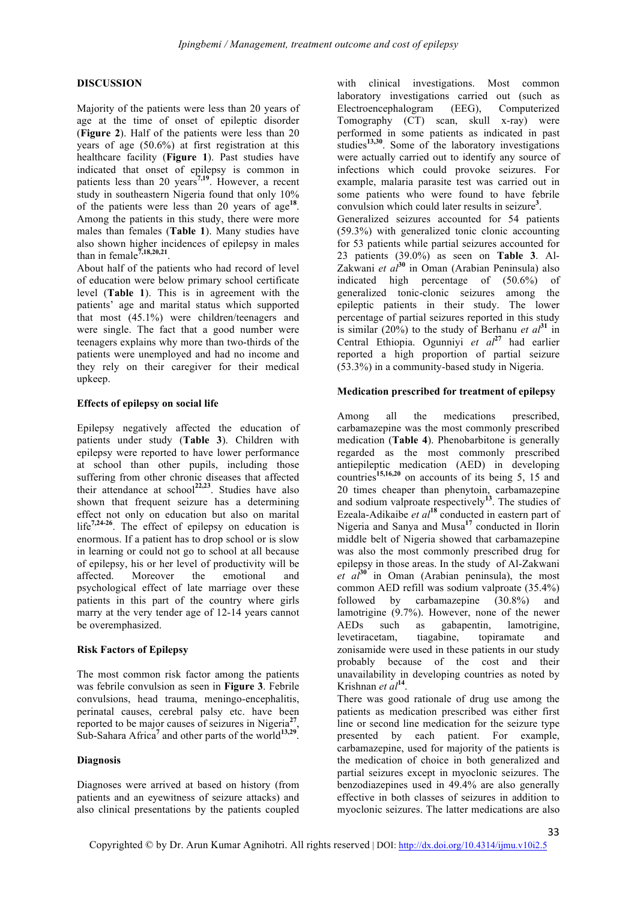## **DISCUSSION**

Majority of the patients were less than 20 years of age at the time of onset of epileptic disorder (**Figure 2**). Half of the patients were less than 20 years of age (50.6%) at first registration at this healthcare facility (**Figure 1**). Past studies have indicated that onset of epilepsy is common in patients less than 20 years**7,19**. However, a recent study in southeastern Nigeria found that only 10% of the patients were less than 20 years of age**<sup>18</sup>**. Among the patients in this study, there were more males than females (**Table 1**). Many studies have also shown higher incidences of epilepsy in males than in female<sup> $7,18,20,21$ </sup>.

About half of the patients who had record of level of education were below primary school certificate level (**Table 1**). This is in agreement with the patients' age and marital status which supported that most (45.1%) were children/teenagers and were single. The fact that a good number were teenagers explains why more than two-thirds of the patients were unemployed and had no income and they rely on their caregiver for their medical upkeep.

#### **Effects of epilepsy on social life**

Epilepsy negatively affected the education of patients under study (**Table 3**). Children with epilepsy were reported to have lower performance at school than other pupils, including those suffering from other chronic diseases that affected their attendance at school**22,23**. Studies have also shown that frequent seizure has a determining effect not only on education but also on marital life**7,24-26**. The effect of epilepsy on education is enormous. If a patient has to drop school or is slow in learning or could not go to school at all because of epilepsy, his or her level of productivity will be affected. Moreover the emotional and psychological effect of late marriage over these patients in this part of the country where girls marry at the very tender age of 12-14 years cannot be overemphasized.

#### **Risk Factors of Epilepsy**

The most common risk factor among the patients was febrile convulsion as seen in **Figure 3**. Febrile convulsions, head trauma, meningo-encephalitis, perinatal causes, cerebral palsy etc. have been reported to be major causes of seizures in Nigeria**<sup>27</sup>**, Sub-Sahara Africa**<sup>7</sup>** and other parts of the world**13,29**.

#### **Diagnosis**

Diagnoses were arrived at based on history (from patients and an eyewitness of seizure attacks) and also clinical presentations by the patients coupled

with clinical investigations. Most common laboratory investigations carried out (such as Electroencephalogram (EEG), Computerized Tomography (CT) scan, skull x-ray) were performed in some patients as indicated in past studies<sup>13,30</sup>. Some of the laboratory investigations were actually carried out to identify any source of infections which could provoke seizures. For example, malaria parasite test was carried out in some patients who were found to have febrile convulsion which could later results in seizure**<sup>3</sup>** . Generalized seizures accounted for 54 patients (59.3%) with generalized tonic clonic accounting for 53 patients while partial seizures accounted for 23 patients (39.0%) as seen on **Table 3**. Al-Zakwani *et al***<sup>30</sup>** in Oman (Arabian Peninsula) also indicated high percentage of (50.6%) of generalized tonic-clonic seizures among the epileptic patients in their study. The lower percentage of partial seizures reported in this study is similar (20%) to the study of Berhanu *et al*<sup>31</sup> in Central Ethiopia. Ogunniyi *et al***<sup>27</sup>** had earlier reported a high proportion of partial seizure (53.3%) in a community-based study in Nigeria.

#### **Medication prescribed for treatment of epilepsy**

Among all the medications prescribed, carbamazepine was the most commonly prescribed medication (**Table 4**). Phenobarbitone is generally regarded as the most commonly prescribed antiepileptic medication (AED) in developing countries<sup>15,16,20</sup> on accounts of its being 5, 15 and 20 times cheaper than phenytoin, carbamazepine and sodium valproate respectively**<sup>13</sup>**. The studies of Ezeala-Adikaibe *et al***<sup>18</sup>** conducted in eastern part of Nigeria and Sanya and Musa**<sup>17</sup>** conducted in Ilorin middle belt of Nigeria showed that carbamazepine was also the most commonly prescribed drug for epilepsy in those areas. In the study of Al-Zakwani *et al***<sup>30</sup>** in Oman (Arabian peninsula), the most common AED refill was sodium valproate (35.4%) followed by carbamazepine (30.8%) and lamotrigine (9.7%). However, none of the newer AEDs such as gabapentin, lamotrigine, levetiracetam, tiagabine, topiramate and zonisamide were used in these patients in our study probably because of the cost and their unavailability in developing countries as noted by Krishnan *et al***<sup>14</sup>** .

There was good rationale of drug use among the patients as medication prescribed was either first line or second line medication for the seizure type presented by each patient. For example, carbamazepine, used for majority of the patients is the medication of choice in both generalized and partial seizures except in myoclonic seizures. The benzodiazepines used in 49.4% are also generally effective in both classes of seizures in addition to myoclonic seizures. The latter medications are also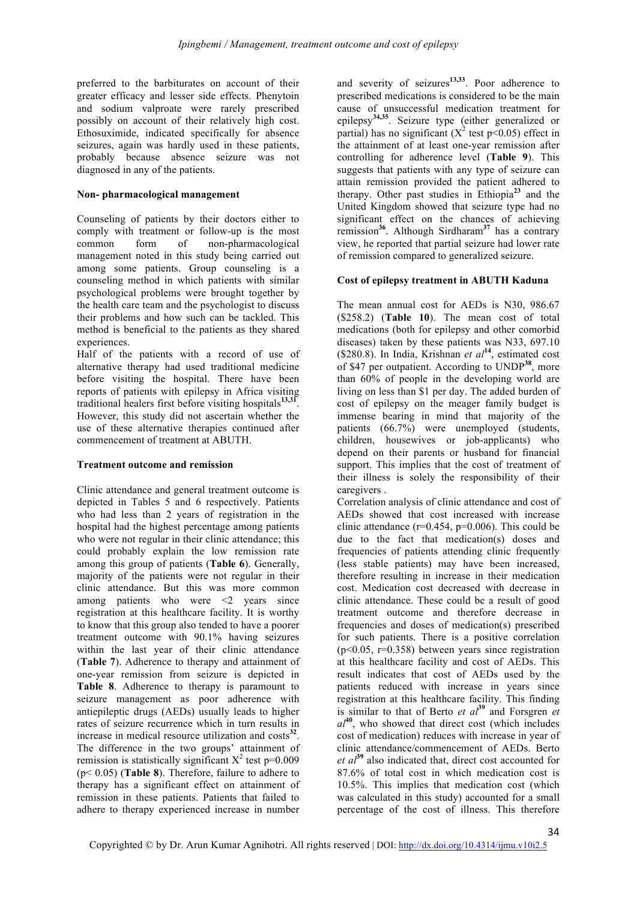preferred to the barbiturates on account of their greater efficacy and lesser side effects. Phenytoin and sodium valproate were rarely prescribed possibly on account of their relatively high cost. Ethosuximide, indicated specifically for absence seizures, again was hardly used in these patients, probably because absence seizure was not diagnosed in any of the patients.

#### **Non- pharmacological management**

Counseling of patients by their doctors either to comply with treatment or follow-up is the most common form of non-pharmacological management noted in this study being carried out among some patients. Group counseling is a counseling method in which patients with similar psychological problems were brought together by the health care team and the psychologist to discuss their problems and how such can be tackled. This method is beneficial to the patients as they shared experiences.

Half of the patients with a record of use of alternative therapy had used traditional medicine before visiting the hospital. There have been reports of patients with epilepsy in Africa visiting traditional healers first before visiting hospitals **13,31**. However, this study did not ascertain whether the use of these alternative therapies continued after commencement of treatment at ABUTH.

## **Treatment outcome and remission**

Clinic attendance and general treatment outcome is depicted in Tables 5 and 6 respectively. Patients who had less than 2 years of registration in the hospital had the highest percentage among patients who were not regular in their clinic attendance; this could probably explain the low remission rate among this group of patients (**Table 6**). Generally, majority of the patients were not regular in their clinic attendance. But this was more common among patients who were <2 years since registration at this healthcare facility. It is worthy to know that this group also tended to have a poorer treatment outcome with 90.1% having seizures within the last year of their clinic attendance (**Table 7**). Adherence to therapy and attainment of one-year remission from seizure is depicted in **Table 8**. Adherence to therapy is paramount to seizure management as poor adherence with antiepileptic drugs (AEDs) usually leads to higher rates of seizure recurrence which in turn results in increase in medical resource utilization and costs**<sup>32</sup>**. The difference in the two groups' attainment of remission is statistically significant  $X^2$  test p=0.009 (p< 0.05) (**Table 8**). Therefore, failure to adhere to therapy has a significant effect on attainment of remission in these patients. Patients that failed to adhere to therapy experienced increase in number

and severity of seizures**13,33**. Poor adherence to prescribed medications is considered to be the main cause of unsuccessful medication treatment for epilepsy**34,35**. Seizure type (either generalized or partial) has no significant ( $X^2$  test p<0.05) effect in the attainment of at least one-year remission after controlling for adherence level (**Table 9**). This suggests that patients with any type of seizure can attain remission provided the patient adhered to therapy. Other past studies in Ethiopia**<sup>23</sup>** and the United Kingdom showed that seizure type had no significant effect on the chances of achieving remission**<sup>36</sup>**. Although Sirdharam**<sup>37</sup>** has a contrary view, he reported that partial seizure had lower rate of remission compared to generalized seizure.

## **Cost of epilepsy treatment in ABUTH Kaduna**

The mean annual cost for AEDs is N30, 986.67 (\$258.2) (**Table 10**). The mean cost of total medications (both for epilepsy and other comorbid diseases) taken by these patients was N33, 697.10 (\$280.8). In India, Krishnan *et al***<sup>14</sup>**, estimated cost of \$47 per outpatient. According to UNDP**<sup>38</sup>** , more than 60% of people in the developing world are living on less than \$1 per day. The added burden of cost of epilepsy on the meager family budget is immense bearing in mind that majority of the patients (66.7%) were unemployed (students, children, housewives or job-applicants) who depend on their parents or husband for financial support. This implies that the cost of treatment of their illness is solely the responsibility of their caregivers .

Correlation analysis of clinic attendance and cost of AEDs showed that cost increased with increase clinic attendance  $(r=0.454, p=0.006)$ . This could be due to the fact that medication(s) doses and frequencies of patients attending clinic frequently (less stable patients) may have been increased, therefore resulting in increase in their medication cost. Medication cost decreased with decrease in clinic attendance. These could be a result of good treatment outcome and therefore decrease in frequencies and doses of medication(s) prescribed for such patients. There is a positive correlation  $(p<0.05, r=0.358)$  between years since registration at this healthcare facility and cost of AEDs. This result indicates that cost of AEDs used by the patients reduced with increase in years since registration at this healthcare facility. This finding is similar to that of Berto *et al***<sup>39</sup>** and Forsgren *et al***<sup>40</sup>** , who showed that direct cost (which includes cost of medication) reduces with increase in year of clinic attendance/commencement of AEDs. Berto *et al***<sup>39</sup>** also indicated that, direct cost accounted for 87.6% of total cost in which medication cost is 10.5%. This implies that medication cost (which was calculated in this study) accounted for a small percentage of the cost of illness. This therefore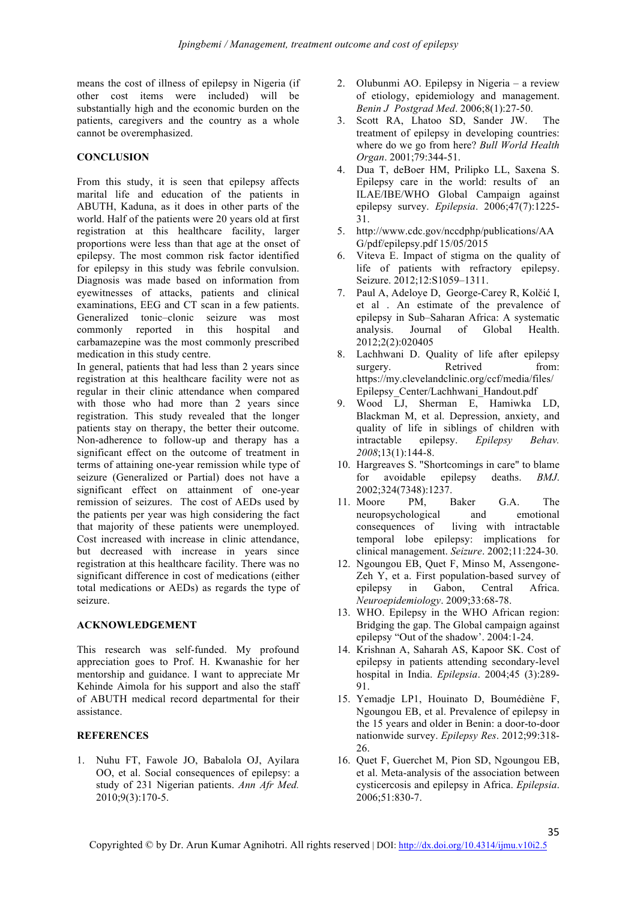means the cost of illness of epilepsy in Nigeria (if other cost items were included) will be substantially high and the economic burden on the patients, caregivers and the country as a whole cannot be overemphasized.

## **CONCLUSION**

From this study, it is seen that epilepsy affects marital life and education of the patients in ABUTH, Kaduna, as it does in other parts of the world. Half of the patients were 20 years old at first registration at this healthcare facility, larger proportions were less than that age at the onset of epilepsy. The most common risk factor identified for epilepsy in this study was febrile convulsion. Diagnosis was made based on information from eyewitnesses of attacks, patients and clinical examinations, EEG and CT scan in a few patients. Generalized tonic–clonic seizure was most commonly reported in this hospital and carbamazepine was the most commonly prescribed medication in this study centre.

In general, patients that had less than 2 years since registration at this healthcare facility were not as regular in their clinic attendance when compared with those who had more than 2 years since registration. This study revealed that the longer patients stay on therapy, the better their outcome. Non-adherence to follow-up and therapy has a significant effect on the outcome of treatment in terms of attaining one-year remission while type of seizure (Generalized or Partial) does not have a significant effect on attainment of one-year remission of seizures. The cost of AEDs used by the patients per year was high considering the fact that majority of these patients were unemployed. Cost increased with increase in clinic attendance, but decreased with increase in years since registration at this healthcare facility. There was no significant difference in cost of medications (either total medications or AEDs) as regards the type of seizure.

## **ACKNOWLEDGEMENT**

This research was self-funded. My profound appreciation goes to Prof. H. Kwanashie for her mentorship and guidance. I want to appreciate Mr Kehinde Aimola for his support and also the staff of ABUTH medical record departmental for their assistance.

## **REFERENCES**

1. Nuhu FT, Fawole JO, Babalola OJ, Ayilara OO, et al. Social consequences of epilepsy: a study of 231 Nigerian patients. *Ann Afr Med.*  2010;9(3):170-5.

- 2. Olubunmi AO. Epilepsy in Nigeria a review of etiology, epidemiology and management. *Benin J Postgrad Med*. 2006;8(1):27-50.
- 3. Scott RA, Lhatoo SD, Sander JW. The treatment of epilepsy in developing countries: where do we go from here? *Bull World Health Organ*. 2001;79:344-51.
- 4. Dua T, deBoer HM, Prilipko LL, Saxena S. Epilepsy care in the world: results of an ILAE/IBE/WHO Global Campaign against epilepsy survey. *Epilepsia*. 2006;47(7):1225- 31.
- 5. http://www.cdc.gov/nccdphp/publications/AA G/pdf/epilepsy.pdf 15/05/2015
- 6. Viteva E. Impact of stigma on the quality of life of patients with refractory epilepsy. Seizure. 2012;12:S1059–1311.
- 7. Paul A, Adeloye D, George-Carey R, Kolčić I, et al . An estimate of the prevalence of epilepsy in Sub–Saharan Africa: A systematic analysis. Journal of Global Health. 2012;2(2):020405
- 8. Lachhwani D. Quality of life after epilepsy surgery. Retrived from: https://my.clevelandclinic.org/ccf/media/files/ Epilepsy\_Center/Lachhwani\_Handout.pdf
- 9. Wood LJ, Sherman E, Hamiwka LD, Blackman M, et al. Depression, anxiety, and quality of life in siblings of children with intractable epilepsy. *Epilepsy Behav. 2008*;13(1):144-8.
- 10. Hargreaves S. "Shortcomings in care" to blame for avoidable epilepsy deaths. *BMJ*. 2002;324(7348):1237.
- 11. Moore PM, Baker G.A. The neuropsychological and emotional consequences of living with intractable temporal lobe epilepsy: implications for clinical management. *Seizure*. 2002;11:224-30.
- 12. Ngoungou EB, Quet F, Minso M, Assengone-Zeh Y, et a. First population-based survey of epilepsy in Gabon, Central Africa. *Neuroepidemiology*. 2009;33:68-78.
- 13. WHO. Epilepsy in the WHO African region: Bridging the gap. The Global campaign against epilepsy "Out of the shadow'. 2004:1-24.
- 14. Krishnan A, Saharah AS, Kapoor SK. Cost of epilepsy in patients attending secondary-level hospital in India. *Epilepsia*. 2004;45 (3):289- 91.
- 15. Yemadje LP1, Houinato D, Boumédiène F, Ngoungou EB, et al. Prevalence of epilepsy in the 15 years and older in Benin: a door-to-door nationwide survey. *Epilepsy Res*. 2012;99:318- 26.
- 16. Quet F, Guerchet M, Pion SD, Ngoungou EB, et al. Meta-analysis of the association between cysticercosis and epilepsy in Africa. *Epilepsia*. 2006;51:830-7.